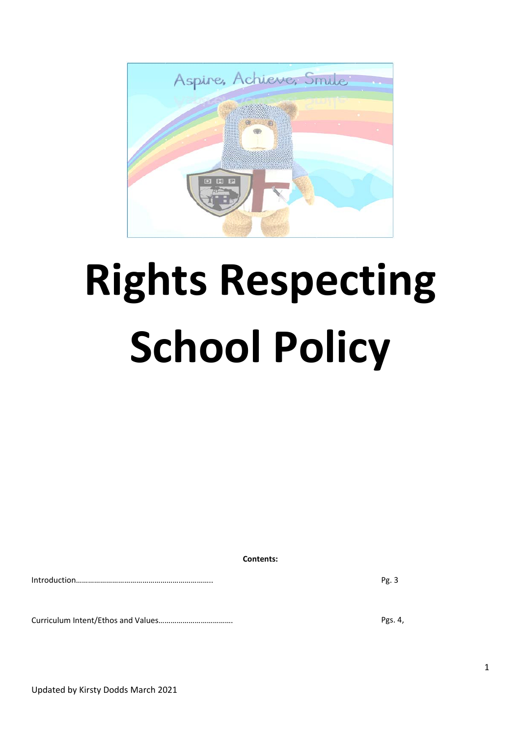

# **Rights Respecting School Policy**

**Contents:**

Introduction………………………………………………………….. Pg. 3

Curriculum Intent/Ethos and Values………………………………. Pgs. 4,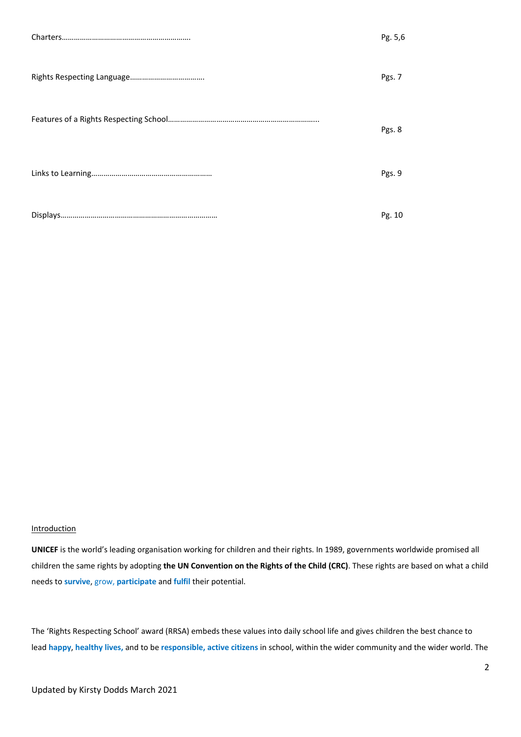| Pg. 5,6 |
|---------|
| Pgs. 7  |
| Pgs. 8  |
| Pgs. 9  |
| Pg. 10  |

## **Introduction**

**UNICEF** is the world's leading organisation working for children and their rights. In 1989, governments worldwide promised all children the same rights by adopting **the UN Convention on the Rights of the Child (CRC)**. These rights are based on what a child needs to **survive**, grow, **participate** and **fulfil** their potential.

The 'Rights Respecting School' award (RRSA) embeds these values into daily school life and gives children the best chance to lead **happy**, **healthy lives,** and to be **responsible, active citizens** in school, within the wider community and the wider world. The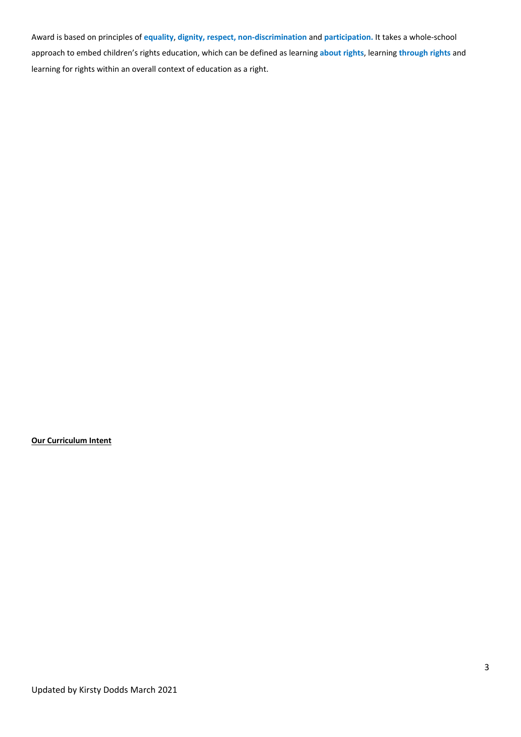Award is based on principles of **equality**, **dignity, respect, non-discrimination** and **participation.** It takes a whole-school approach to embed children's rights education, which can be defined as learning **about rights**, learning **through rights** and learning for rights within an overall context of education as a right.

## **Our Curriculum Intent**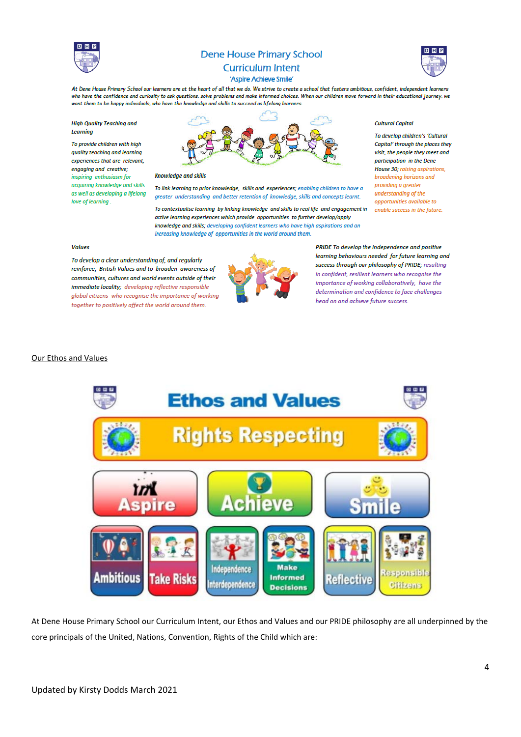

# **Dene House Primary School**



#### **Curriculum Intent** 'Aspire Achieve Smile'

At Dene House Primary School our learners are at the heart of all that we do. We strive to create a school that fosters ambitious, confident, independent learners who have the confidence and curiosity to ask questions, solve problems and make informed choices. When our children move forward in their educational journey, we want them to be happy individuals, who have the knowledge and skills to succeed as lifelong learners.

**High Quality Teaching and** Learning

To provide children with high quality teaching and learning experiences that are relevant engaging and creative; inspiring enthusiasm for acauirina knowledae and skills as well as developing a lifelong love of learning.



#### **Knowledge and skills**

To link learning to prior knowledge, skills and experiences; enabling children to have a greater understanding and better retention of knowledge, skills and concepts learnt.

To contextualise learning by linking knowledge and skills to real life and engagement in active learning experiences which provide opportunities to further develop/apply knowledge and skills; developing confident learners who have high aspirations and an increasing knowledge of opportunities in the world around them.

#### **Cultural Capital**

To develop children's 'Cultural Capital' through the places they visit, the people they meet and narticipation in the Dene House 30; raising aspirations, broadening horizons and providing a greater understanding of the opportunities available to enable success in the future.

#### **Values**

To develop a clear understanding of, and regularly reinforce, British Values and to broaden awareness of communities, cultures and world events outside of their immediate locality; developing reflective responsible global citizens who recognise the importance of working together to positively affect the world around them.



PRIDE To develop the independence and positive learning behaviours needed for future learning and success through our philosophy of PRIDE; resulting in confident, resilient learners who recognise the importance of working collaboratively, have the determination and confidence to face challenges head on and achieve future success.

#### Our Ethos and Values



At Dene House Primary School our Curriculum Intent, our Ethos and Values and our PRIDE philosophy are all underpinned by the core principals of the United, Nations, Convention, Rights of the Child which are: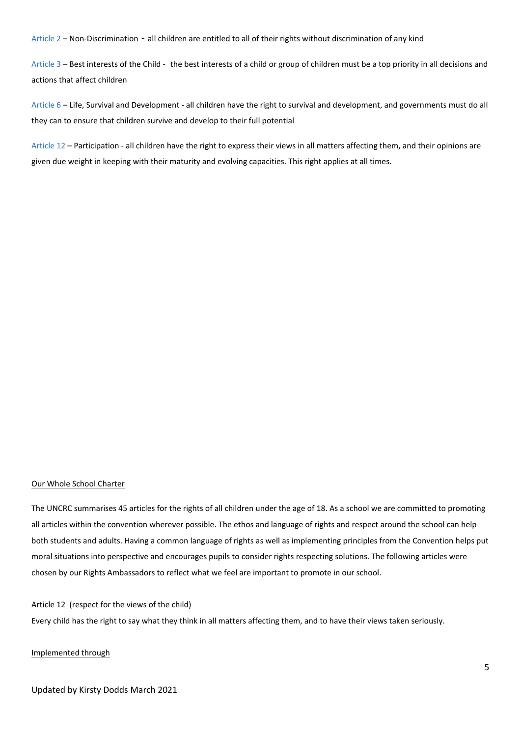Article 2 – Non-Discrimination - all children are entitled to all of their rights without discrimination of any kind

Article 3 – Best interests of the Child - the best interests of a child or group of children must be a top priority in all decisions and actions that affect children

Article 6 – Life, Survival and Development - all children have the right to survival and development, and governments must do all they can to ensure that children survive and develop to their full potential

Article 12 – Participation - all children have the right to express their views in all matters affecting them, and their opinions are given due weight in keeping with their maturity and evolving capacities. This right applies at all times.

#### Our Whole School Charter

The UNCRC summarises 45 articles for the rights of all children under the age of 18. As a school we are committed to promoting all articles within the convention wherever possible. The ethos and language of rights and respect around the school can help both students and adults. Having a common language of rights as well as implementing principles from the Convention helps put moral situations into perspective and encourages pupils to consider rights respecting solutions. The following articles were chosen by our Rights Ambassadors to reflect what we feel are important to promote in our school.

#### Article 12 (respect for the views of the child)

Every child has the right to say what they think in all matters affecting them, and to have their views taken seriously.

#### Implemented through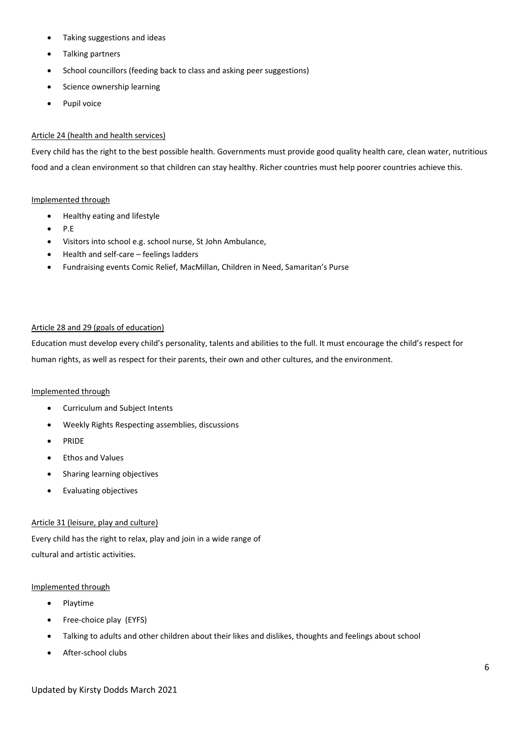- Taking suggestions and ideas
- Talking partners
- School councillors (feeding back to class and asking peer suggestions)
- Science ownership learning
- Pupil voice

## Article 24 (health and health services)

Every child has the right to the best possible health. Governments must provide good quality health care, clean water, nutritious food and a clean environment so that children can stay healthy. Richer countries must help poorer countries achieve this.

#### Implemented through

- Healthy eating and lifestyle
- P.E
- Visitors into school e.g. school nurse, St John Ambulance,
- Health and self-care feelings ladders
- Fundraising events Comic Relief, MacMillan, Children in Need, Samaritan's Purse

#### Article 28 and 29 (goals of education)

Education must develop every child's personality, talents and abilities to the full. It must encourage the child's respect for human rights, as well as respect for their parents, their own and other cultures, and the environment.

## Implemented through

- Curriculum and Subject Intents
- Weekly Rights Respecting assemblies, discussions
- PRIDE
- Ethos and Values
- Sharing learning objectives
- Evaluating objectives

## Article 31 (leisure, play and culture)

Every child has the right to relax, play and join in a wide range of cultural and artistic activities.

#### Implemented through

- Playtime
- Free-choice play (EYFS)
- Talking to adults and other children about their likes and dislikes, thoughts and feelings about school
- After-school clubs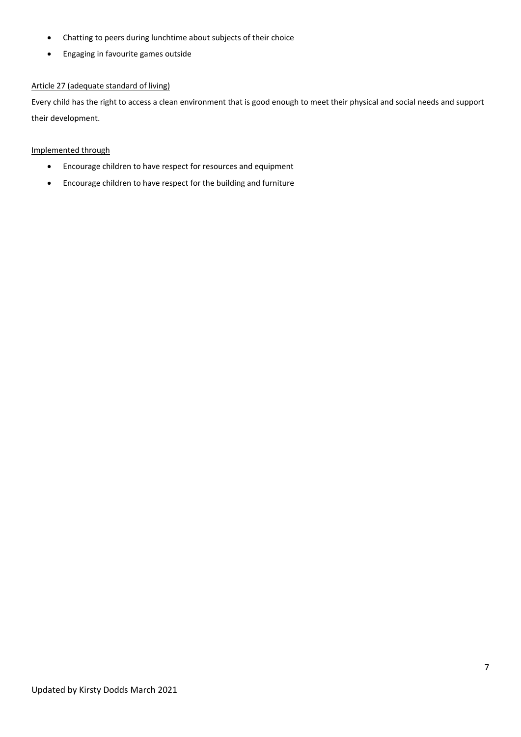- Chatting to peers during lunchtime about subjects of their choice
- Engaging in favourite games outside

# Article 27 (adequate standard of living)

Every child has the right to access a clean environment that is good enough to meet their physical and social needs and support their development.

# Implemented through

- Encourage children to have respect for resources and equipment
- Encourage children to have respect for the building and furniture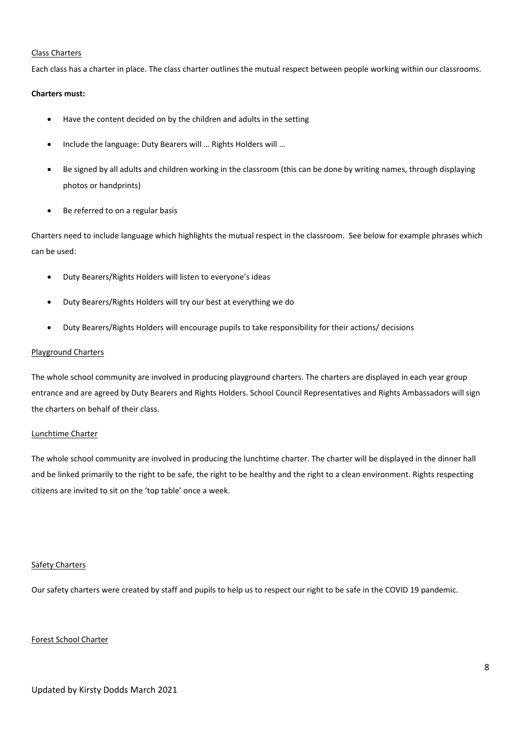#### Class Charters

Each class has a charter in place. The class charter outlines the mutual respect between people working within our classrooms.

## **Charters must:**

- Have the content decided on by the children and adults in the setting
- Include the language: Duty Bearers will … Rights Holders will …
- Be signed by all adults and children working in the classroom (this can be done by writing names, through displaying photos or handprints)
- Be referred to on a regular basis

Charters need to include language which highlights the mutual respect in the classroom. See below for example phrases which can be used:

- Duty Bearers/Rights Holders will listen to everyone's ideas
- Duty Bearers/Rights Holders will try our best at everything we do
- Duty Bearers/Rights Holders will encourage pupils to take responsibility for their actions/ decisions

## Playground Charters

The whole school community are involved in producing playground charters. The charters are displayed in each year group entrance and are agreed by Duty Bearers and Rights Holders. School Council Representatives and Rights Ambassadors will sign the charters on behalf of their class.

# Lunchtime Charter

The whole school community are involved in producing the lunchtime charter. The charter will be displayed in the dinner hall and be linked primarily to the right to be safe, the right to be healthy and the right to a clean environment. Rights respecting citizens are invited to sit on the 'top table' once a week.

#### Safety Charters

Our safety charters were created by staff and pupils to help us to respect our right to be safe in the COVID 19 pandemic.

# Forest School Charter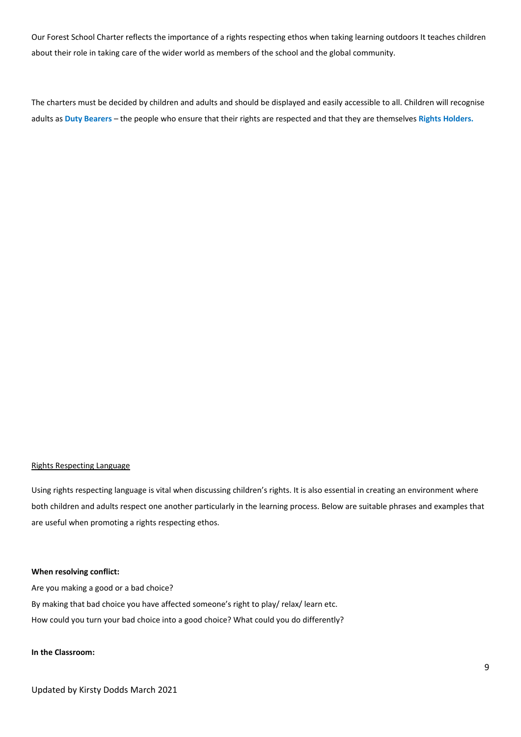Our Forest School Charter reflects the importance of a rights respecting ethos when taking learning outdoors It teaches children about their role in taking care of the wider world as members of the school and the global community.

The charters must be decided by children and adults and should be displayed and easily accessible to all. Children will recognise adults as **Duty Bearers** – the people who ensure that their rights are respected and that they are themselves **Rights Holders.**

## Rights Respecting Language

Using rights respecting language is vital when discussing children's rights. It is also essential in creating an environment where both children and adults respect one another particularly in the learning process. Below are suitable phrases and examples that are useful when promoting a rights respecting ethos.

#### **When resolving conflict:**

Are you making a good or a bad choice? By making that bad choice you have affected someone's right to play/ relax/ learn etc. How could you turn your bad choice into a good choice? What could you do differently?

## **In the Classroom:**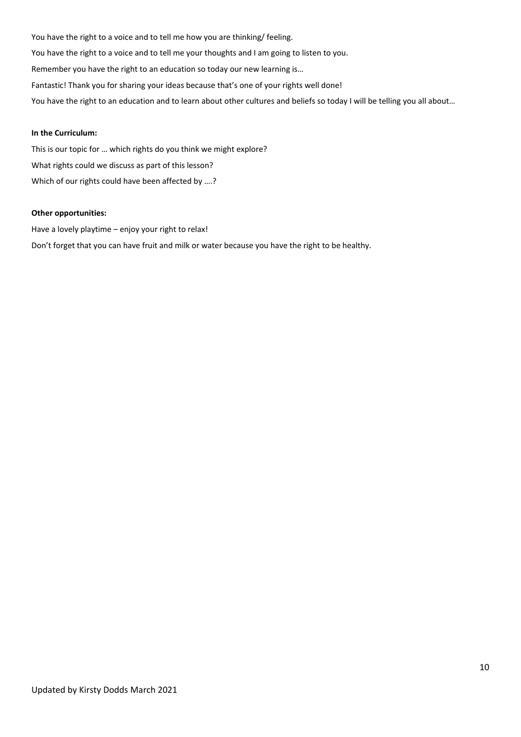You have the right to a voice and to tell me how you are thinking/ feeling. You have the right to a voice and to tell me your thoughts and I am going to listen to you. Remember you have the right to an education so today our new learning is… Fantastic! Thank you for sharing your ideas because that's one of your rights well done! You have the right to an education and to learn about other cultures and beliefs so today I will be telling you all about...

## **In the Curriculum:**

This is our topic for … which rights do you think we might explore? What rights could we discuss as part of this lesson? Which of our rights could have been affected by ….?

#### **Other opportunities:**

Have a lovely playtime – enjoy your right to relax! Don't forget that you can have fruit and milk or water because you have the right to be healthy.